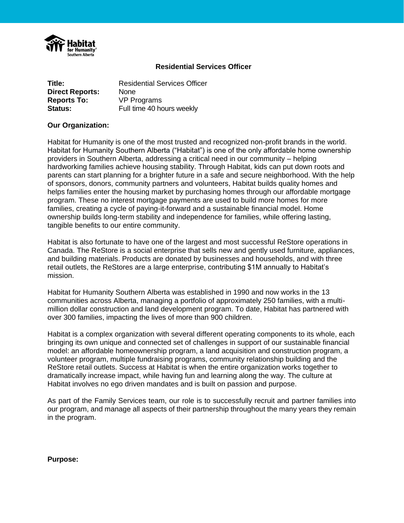

#### **Residential Services Officer**

| Title:                 | <b>Residential Services Officer</b> |
|------------------------|-------------------------------------|
| <b>Direct Reports:</b> | <b>None</b>                         |
| <b>Reports To:</b>     | <b>VP Programs</b>                  |
| <b>Status:</b>         | Full time 40 hours weekly           |

#### **Our Organization:**

Habitat for Humanity is one of the most trusted and recognized non-profit brands in the world. Habitat for Humanity Southern Alberta ("Habitat") is one of the only affordable home ownership providers in Southern Alberta, addressing a critical need in our community – helping hardworking families achieve housing stability. Through Habitat, kids can put down roots and parents can start planning for a brighter future in a safe and secure neighborhood. With the help of sponsors, donors, community partners and volunteers, Habitat builds quality homes and helps families enter the housing market by purchasing homes through our affordable mortgage program. These no interest mortgage payments are used to build more homes for more families, creating a cycle of paying-it-forward and a sustainable financial model. Home ownership builds long-term stability and independence for families, while offering lasting, tangible benefits to our entire community.

Habitat is also fortunate to have one of the largest and most successful ReStore operations in Canada. The ReStore is a social enterprise that sells new and gently used furniture, appliances, and building materials. Products are donated by businesses and households, and with three retail outlets, the ReStores are a large enterprise, contributing \$1M annually to Habitat's mission.

Habitat for Humanity Southern Alberta was established in 1990 and now works in the 13 communities across Alberta, managing a portfolio of approximately 250 families, with a multimillion dollar construction and land development program. To date, Habitat has partnered with over 300 families, impacting the lives of more than 900 children.

Habitat is a complex organization with several different operating components to its whole, each bringing its own unique and connected set of challenges in support of our sustainable financial model: an affordable homeownership program, a land acquisition and construction program, a volunteer program, multiple fundraising programs, community relationship building and the ReStore retail outlets. Success at Habitat is when the entire organization works together to dramatically increase impact, while having fun and learning along the way. The culture at Habitat involves no ego driven mandates and is built on passion and purpose.

As part of the Family Services team, our role is to successfully recruit and partner families into our program, and manage all aspects of their partnership throughout the many years they remain in the program.

**Purpose:**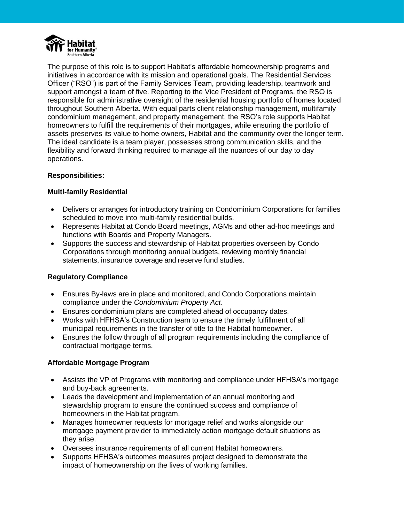

The purpose of this role is to support Habitat's affordable homeownership programs and initiatives in accordance with its mission and operational goals. The Residential Services Officer ("RSO") is part of the Family Services Team, providing leadership, teamwork and support amongst a team of five. Reporting to the Vice President of Programs, the RSO is responsible for administrative oversight of the residential housing portfolio of homes located throughout Southern Alberta. With equal parts client relationship management, multifamily condominium management, and property management, the RSO's role supports Habitat homeowners to fulfill the requirements of their mortgages, while ensuring the portfolio of assets preserves its value to home owners, Habitat and the community over the longer term. The ideal candidate is a team player, possesses strong communication skills, and the flexibility and forward thinking required to manage all the nuances of our day to day operations.

#### **Responsibilities:**

# **Multi-family Residential**

- Delivers or arranges for introductory training on Condominium Corporations for families scheduled to move into multi-family residential builds.
- Represents Habitat at Condo Board meetings, AGMs and other ad-hoc meetings and functions with Boards and Property Managers.
- Supports the success and stewardship of Habitat properties overseen by Condo Corporations through monitoring annual budgets, reviewing monthly financial statements, insurance coverage and reserve fund studies.

# **Regulatory Compliance**

- Ensures By-laws are in place and monitored, and Condo Corporations maintain compliance under the *Condominium Property Act*.
- Ensures condominium plans are completed ahead of occupancy dates.
- Works with HFHSA's Construction team to ensure the timely fulfillment of all municipal requirements in the transfer of title to the Habitat homeowner.
- Ensures the follow through of all program requirements including the compliance of contractual mortgage terms.

# **Affordable Mortgage Program**

- Assists the VP of Programs with monitoring and compliance under HFHSA's mortgage and buy-back agreements.
- Leads the development and implementation of an annual monitoring and stewardship program to ensure the continued success and compliance of homeowners in the Habitat program.
- Manages homeowner requests for mortgage relief and works alongside our mortgage payment provider to immediately action mortgage default situations as they arise.
- Oversees insurance requirements of all current Habitat homeowners.
- Supports HFHSA's outcomes measures project designed to demonstrate the impact of homeownership on the lives of working families.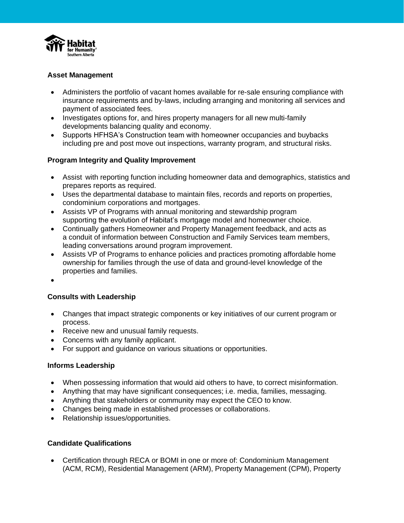

# **Asset Management**

- Administers the portfolio of vacant homes available for re-sale ensuring compliance with insurance requirements and by-laws, including arranging and monitoring all services and payment of associated fees.
- Investigates options for, and hires property managers for all new multi-family developments balancing quality and economy.
- Supports HFHSA's Construction team with homeowner occupancies and buybacks including pre and post move out inspections, warranty program, and structural risks.

# **Program Integrity and Quality Improvement**

- Assist with reporting function including homeowner data and demographics, statistics and prepares reports as required.
- Uses the departmental database to maintain files, records and reports on properties, condominium corporations and mortgages.
- Assists VP of Programs with annual monitoring and stewardship program supporting the evolution of Habitat's mortgage model and homeowner choice.
- Continually gathers Homeowner and Property Management feedback, and acts as a conduit of information between Construction and Family Services team members, leading conversations around program improvement.
- Assists VP of Programs to enhance policies and practices promoting affordable home ownership for families through the use of data and ground-level knowledge of the properties and families.
- $\bullet$

# **Consults with Leadership**

- Changes that impact strategic components or key initiatives of our current program or process.
- Receive new and unusual family requests.
- Concerns with any family applicant.
- For support and guidance on various situations or opportunities.

#### **Informs Leadership**

- When possessing information that would aid others to have, to correct misinformation.
- Anything that may have significant consequences; i.e. media, families, messaging.
- Anything that stakeholders or community may expect the CEO to know.
- Changes being made in established processes or collaborations.
- Relationship issues/opportunities.

# **Candidate Qualifications**

 Certification through RECA or BOMI in one or more of: Condominium Management (ACM, RCM), Residential Management (ARM), Property Management (CPM), Property